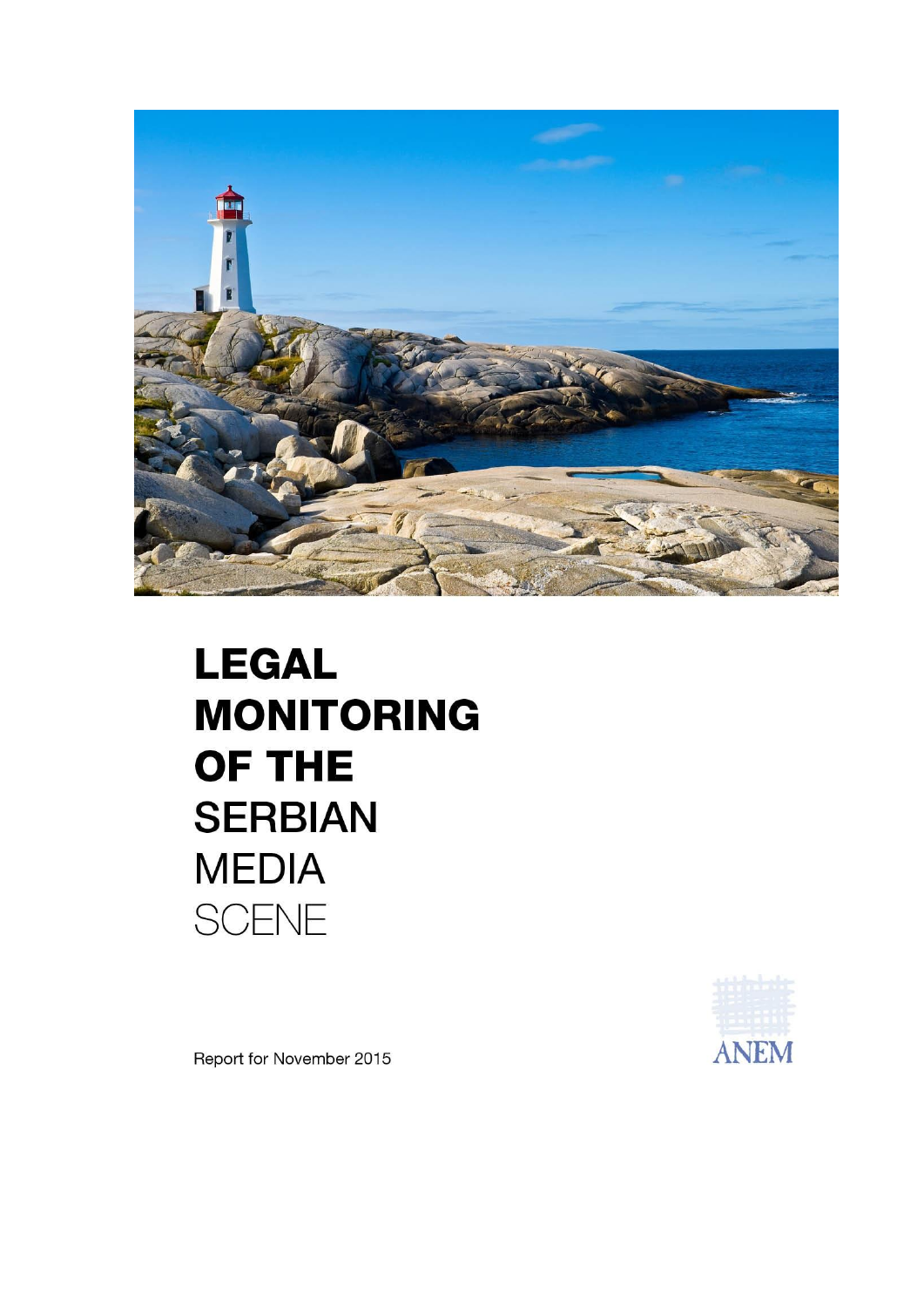

## **LEGAL MONITORING** OF THE **SERBIAN MEDIA SCENE**



Report for November 2015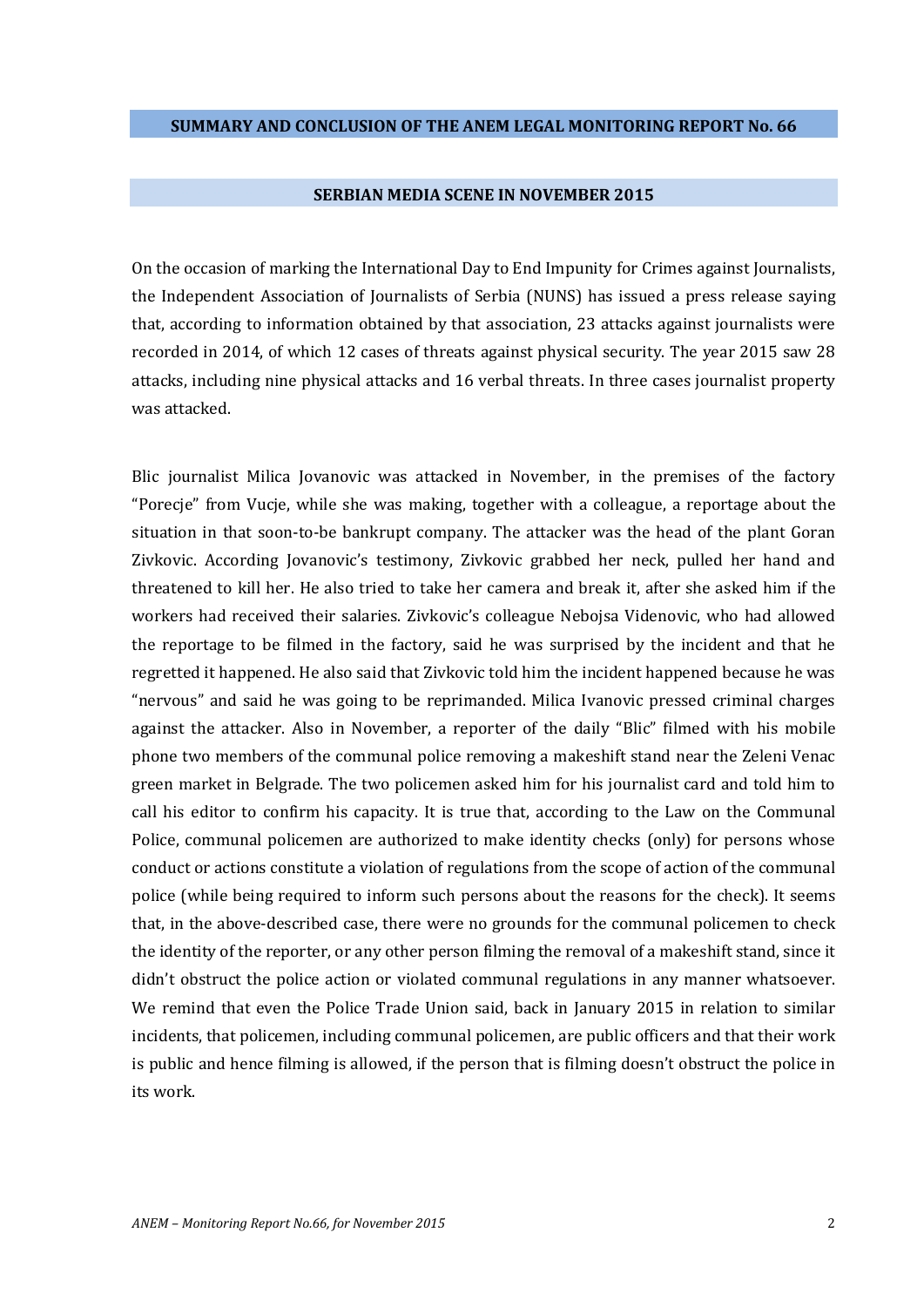## **SERBIAN MEDIA SCENE IN NOVEMBER 2015**

On the occasion of marking the International Day to End Impunity for Crimes against Journalists, the Independent Association of Journalists of Serbia (NUNS) has issued a press release saying that, according to information obtained by that association, 23 attacks against journalists were recorded in 2014, of which 12 cases of threats against physical security. The year 2015 saw 28 attacks, including nine physical attacks and 16 verbal threats. In three cases journalist property was attacked.

Blic journalist Milica Jovanovic was attacked in November, in the premises of the factory "Porecie" from Vucje, while she was making, together with a colleague, a reportage about the situation in that soon-to-be bankrupt company. The attacker was the head of the plant Goran Zivkovic. According Jovanovic's testimony, Zivkovic grabbed her neck, pulled her hand and threatened to kill her. He also tried to take her camera and break it, after she asked him if the workers had received their salaries. Zivkovic's colleague Nebojsa Videnovic, who had allowed the reportage to be filmed in the factory, said he was surprised by the incident and that he regretted it happened. He also said that Zivkovic told him the incident happened because he was "nervous" and said he was going to be reprimanded. Milica Ivanovic pressed criminal charges against the attacker. Also in November, a reporter of the daily "Blic" filmed with his mobile phone two members of the communal police removing a makeshift stand near the Zeleni Venac green market in Belgrade. The two policemen asked him for his journalist card and told him to call his editor to confirm his capacity. It is true that, according to the Law on the Communal Police, communal policemen are authorized to make identity checks (only) for persons whose conduct or actions constitute a violation of regulations from the scope of action of the communal police (while being required to inform such persons about the reasons for the check). It seems that, in the above-described case, there were no grounds for the communal policemen to check the identity of the reporter, or any other person filming the removal of a makeshift stand, since it didn't obstruct the police action or violated communal regulations in any manner whatsoever. We remind that even the Police Trade Union said, back in January 2015 in relation to similar incidents, that policemen, including communal policemen, are public officers and that their work is public and hence filming is allowed, if the person that is filming doesn't obstruct the police in its work.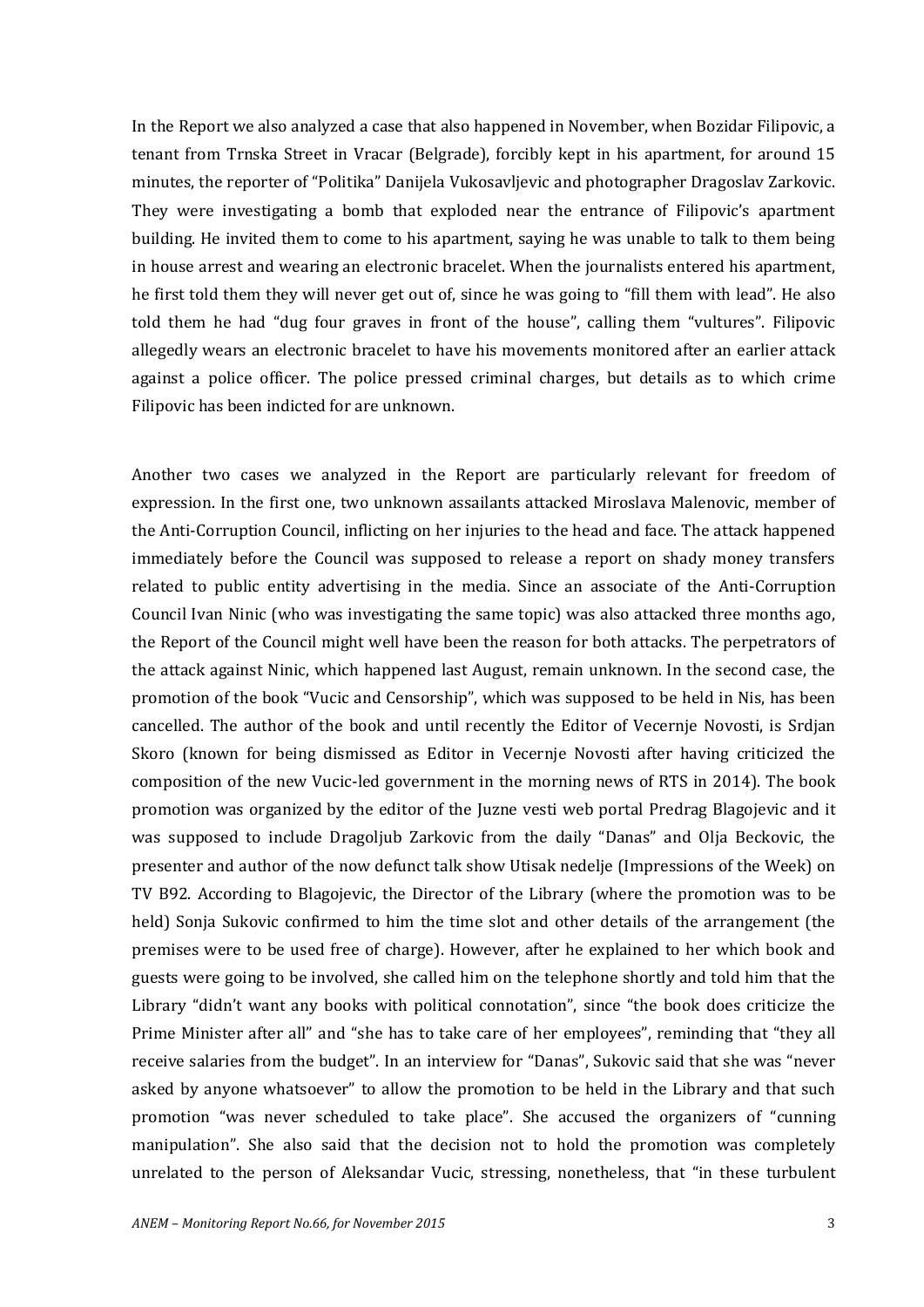In the Report we also analyzed a case that also happened in November, when Bozidar Filipovic, a tenant from Trnska Street in Vracar (Belgrade), forcibly kept in his apartment, for around 15 minutes, the reporter of "Politika" Danijela Vukosavljevic and photographer Dragoslav Zarkovic. They were investigating a bomb that exploded near the entrance of Filipovic's apartment building. He invited them to come to his apartment, saying he was unable to talk to them being in house arrest and wearing an electronic bracelet. When the journalists entered his apartment, he first told them they will never get out of, since he was going to "fill them with lead". He also told them he had "dug four graves in front of the house", calling them "vultures". Filipovic allegedly wears an electronic bracelet to have his movements monitored after an earlier attack against a police officer. The police pressed criminal charges, but details as to which crime Filipovic has been indicted for are unknown.

Another two cases we analyzed in the Report are particularly relevant for freedom of expression. In the first one, two unknown assailants attacked Miroslava Malenovic, member of the Anti-Corruption Council, inflicting on her injuries to the head and face. The attack happened immediately before the Council was supposed to release a report on shady money transfers related to public entity advertising in the media. Since an associate of the Anti-Corruption Council Ivan Ninic (who was investigating the same topic) was also attacked three months ago, the Report of the Council might well have been the reason for both attacks. The perpetrators of the attack against Ninic, which happened last August, remain unknown. In the second case, the promotion of the book "Vucic and Censorship", which was supposed to be held in Nis, has been cancelled. The author of the book and until recently the Editor of Vecernje Novosti, is Srdjan Skoro (known for being dismissed as Editor in Vecernje Novosti after having criticized the composition of the new Vucic-led government in the morning news of RTS in 2014). The book promotion was organized by the editor of the Juzne vesti web portal Predrag Blagojevic and it was supposed to include Dragoljub Zarkovic from the daily "Danas" and Olja Beckovic, the presenter and author of the now defunct talk show Utisak nedelje (Impressions of the Week) on TV B92. According to Blagojevic, the Director of the Library (where the promotion was to be held) Sonja Sukovic confirmed to him the time slot and other details of the arrangement (the premises were to be used free of charge). However, after he explained to her which book and guests were going to be involved, she called him on the telephone shortly and told him that the Library "didn't want any books with political connotation", since "the book does criticize the Prime Minister after all" and "she has to take care of her employees", reminding that "they all receive salaries from the budget". In an interview for "Danas", Sukovic said that she was "never asked by anyone whatsoever" to allow the promotion to be held in the Library and that such promotion "was never scheduled to take place". She accused the organizers of "cunning manipulation". She also said that the decision not to hold the promotion was completely unrelated to the person of Aleksandar Vucic, stressing, nonetheless, that "in these turbulent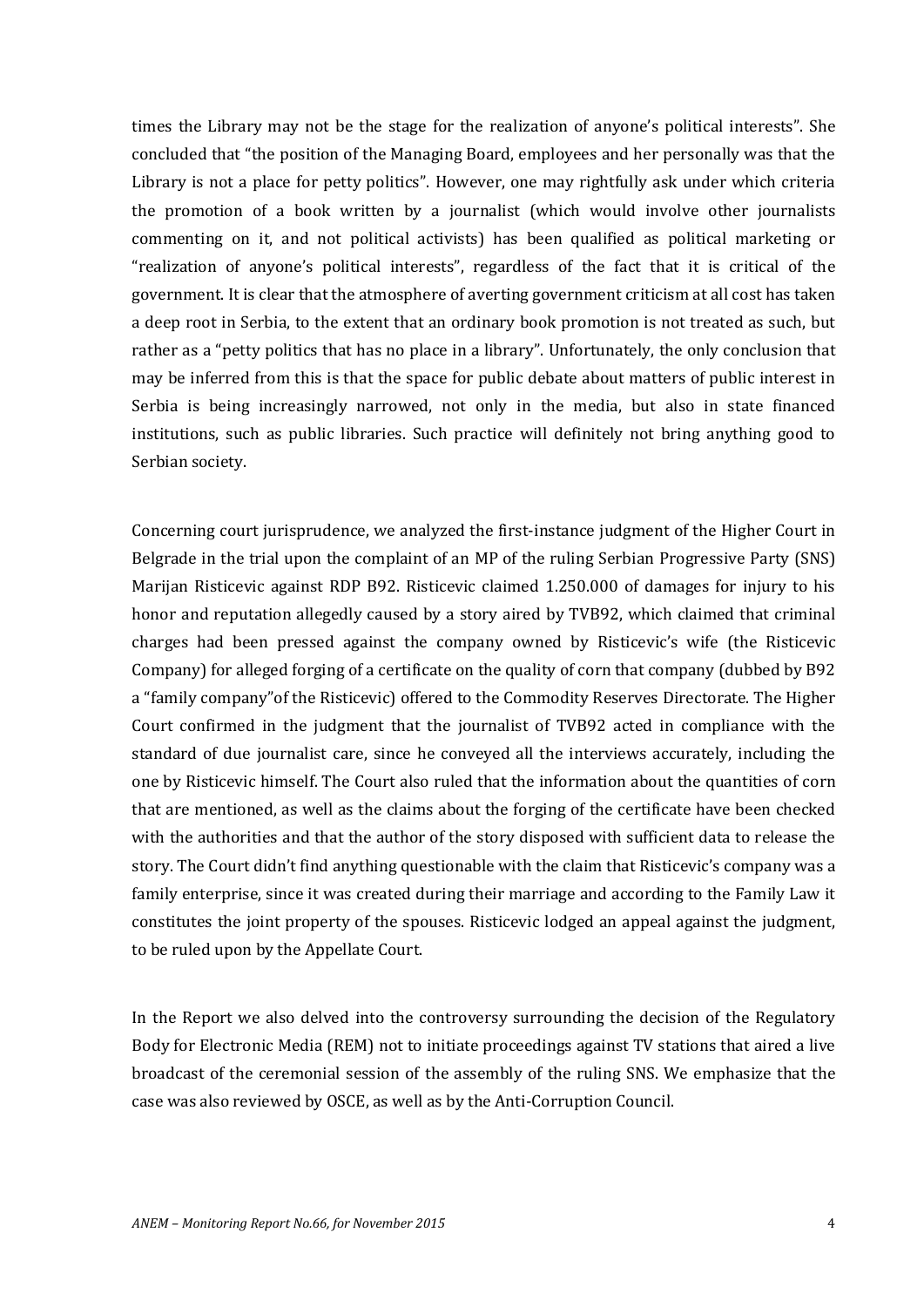times the Library may not be the stage for the realization of anyone's political interests". She concluded that "the position of the Managing Board, employees and her personally was that the Library is not a place for petty politics". However, one may rightfully ask under which criteria the promotion of a book written by a journalist (which would involve other journalists commenting on it, and not political activists) has been qualified as political marketing or "realization of anyone's political interests", regardless of the fact that it is critical of the government. It is clear that the atmosphere of averting government criticism at all cost has taken a deep root in Serbia, to the extent that an ordinary book promotion is not treated as such, but rather as a "petty politics that has no place in a library". Unfortunately, the only conclusion that may be inferred from this is that the space for public debate about matters of public interest in Serbia is being increasingly narrowed, not only in the media, but also in state financed institutions, such as public libraries. Such practice will definitely not bring anything good to Serbian society.

Concerning court jurisprudence, we analyzed the first-instance judgment of the Higher Court in Belgrade in the trial upon the complaint of an MP of the ruling Serbian Progressive Party (SNS) Marijan Risticevic against RDP B92. Risticevic claimed 1.250.000 of damages for injury to his honor and reputation allegedly caused by a story aired by TVB92, which claimed that criminal charges had been pressed against the company owned by Risticevic's wife (the Risticevic Company) for alleged forging of a certificate on the quality of corn that company (dubbed by B92 a "family company"of the Risticevic) offered to the Commodity Reserves Directorate. The Higher Court confirmed in the judgment that the journalist of TVB92 acted in compliance with the standard of due journalist care, since he conveyed all the interviews accurately, including the one by Risticevic himself. The Court also ruled that the information about the quantities of corn that are mentioned, as well as the claims about the forging of the certificate have been checked with the authorities and that the author of the story disposed with sufficient data to release the story. The Court didn't find anything questionable with the claim that Risticevic's company was a family enterprise, since it was created during their marriage and according to the Family Law it constitutes the joint property of the spouses. Risticevic lodged an appeal against the judgment, to be ruled upon by the Appellate Court.

In the Report we also delved into the controversy surrounding the decision of the Regulatory Body for Electronic Media (REM) not to initiate proceedings against TV stations that aired a live broadcast of the ceremonial session of the assembly of the ruling SNS. We emphasize that the case was also reviewed by OSCE, as well as by the Anti-Corruption Council.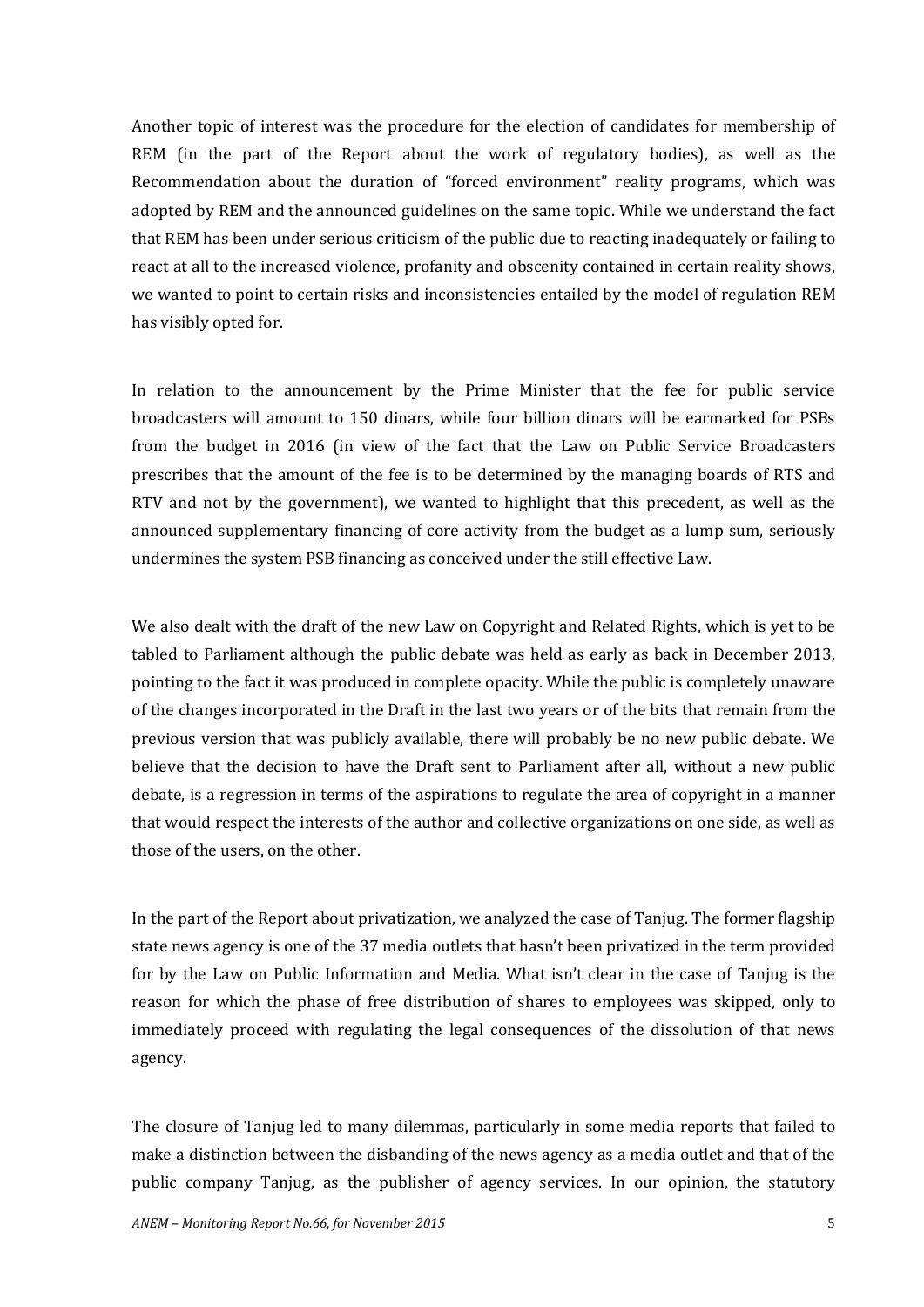Another topic of interest was the procedure for the election of candidates for membership of REM (in the part of the Report about the work of regulatory bodies), as well as the Recommendation about the duration of "forced environment" reality programs, which was adopted by REM and the announced guidelines on the same topic. While we understand the fact that REM has been under serious criticism of the public due to reacting inadequately or failing to react at all to the increased violence, profanity and obscenity contained in certain reality shows, we wanted to point to certain risks and inconsistencies entailed by the model of regulation REM has visibly opted for.

In relation to the announcement by the Prime Minister that the fee for public service broadcasters will amount to 150 dinars, while four billion dinars will be earmarked for PSBs from the budget in 2016 (in view of the fact that the Law on Public Service Broadcasters prescribes that the amount of the fee is to be determined by the managing boards of RTS and RTV and not by the government), we wanted to highlight that this precedent, as well as the announced supplementary financing of core activity from the budget as a lump sum, seriously undermines the system PSB financing as conceived under the still effective Law.

We also dealt with the draft of the new Law on Copyright and Related Rights, which is yet to be tabled to Parliament although the public debate was held as early as back in December 2013, pointing to the fact it was produced in complete opacity. While the public is completely unaware of the changes incorporated in the Draft in the last two years or of the bits that remain from the previous version that was publicly available, there will probably be no new public debate. We believe that the decision to have the Draft sent to Parliament after all, without a new public debate, is a regression in terms of the aspirations to regulate the area of copyright in a manner that would respect the interests of the author and collective organizations on one side, as well as those of the users, on the other.

In the part of the Report about privatization, we analyzed the case of Tanjug. The former flagship state news agency is one of the 37 media outlets that hasn't been privatized in the term provided for by the Law on Public Information and Media. What isn't clear in the case of Tanjug is the reason for which the phase of free distribution of shares to employees was skipped, only to immediately proceed with regulating the legal consequences of the dissolution of that news agency.

The closure of Tanjug led to many dilemmas, particularly in some media reports that failed to make a distinction between the disbanding of the news agency as a media outlet and that of the public company Tanjug, as the publisher of agency services. In our opinion, the statutory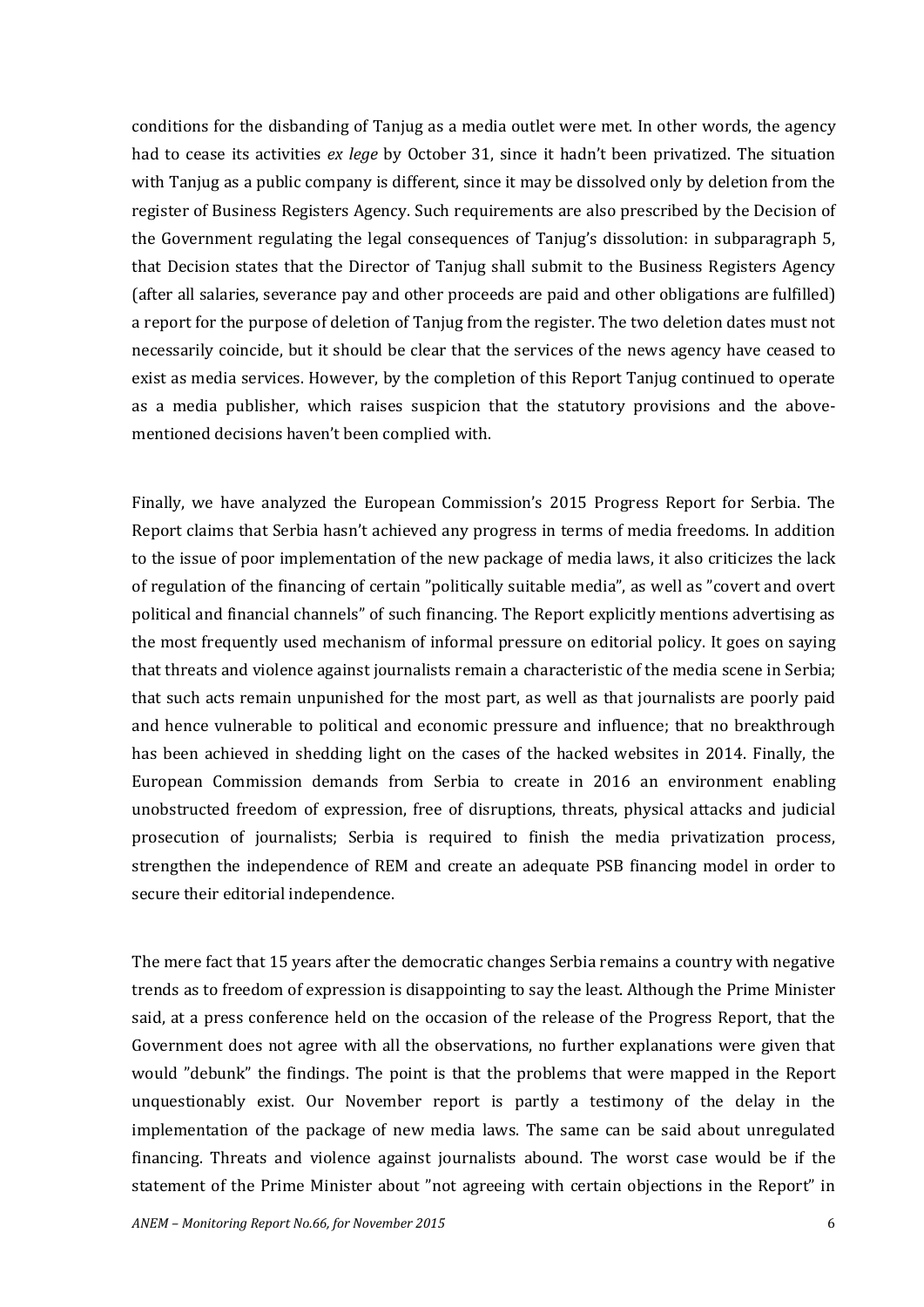conditions for the disbanding of Tanjug as a media outlet were met. In other words, the agency had to cease its activities *ex lege* by October 31, since it hadn't been privatized. The situation with Tanjug as a public company is different, since it may be dissolved only by deletion from the register of Business Registers Agency. Such requirements are also prescribed by the Decision of the Government regulating the legal consequences of Tanjug's dissolution: in subparagraph 5, that Decision states that the Director of Tanjug shall submit to the Business Registers Agency (after all salaries, severance pay and other proceeds are paid and other obligations are fulfilled) a report for the purpose of deletion of Tanjug from the register. The two deletion dates must not necessarily coincide, but it should be clear that the services of the news agency have ceased to exist as media services. However, by the completion of this Report Tanjug continued to operate as a media publisher, which raises suspicion that the statutory provisions and the abovementioned decisions haven't been complied with.

Finally, we have analyzed the European Commission's 2015 Progress Report for Serbia. The Report claims that Serbia hasn't achieved any progress in terms of media freedoms. In addition to the issue of poor implementation of the new package of media laws, it also criticizes the lack of regulation of the financing of certain "politically suitable media", as well as "covert and overt political and financial channels" of such financing. The Report explicitly mentions advertising as the most frequently used mechanism of informal pressure on editorial policy. It goes on saying that threats and violence against journalists remain a characteristic of the media scene in Serbia; that such acts remain unpunished for the most part, as well as that journalists are poorly paid and hence vulnerable to political and economic pressure and influence; that no breakthrough has been achieved in shedding light on the cases of the hacked websites in 2014. Finally, the European Commission demands from Serbia to create in 2016 an environment enabling unobstructed freedom of expression, free of disruptions, threats, physical attacks and judicial prosecution of journalists; Serbia is required to finish the media privatization process, strengthen the independence of REM and create an adequate PSB financing model in order to secure their editorial independence.

The mere fact that 15 years after the democratic changes Serbia remains a country with negative trends as to freedom of expression is disappointing to say the least. Although the Prime Minister said, at a press conference held on the occasion of the release of the Progress Report, that the Government does not agree with all the observations, no further explanations were given that would "debunk" the findings. The point is that the problems that were mapped in the Report unquestionably exist. Our November report is partly a testimony of the delay in the implementation of the package of new media laws. The same can be said about unregulated financing. Threats and violence against journalists abound. The worst case would be if the statement of the Prime Minister about "not agreeing with certain objections in the Report" in